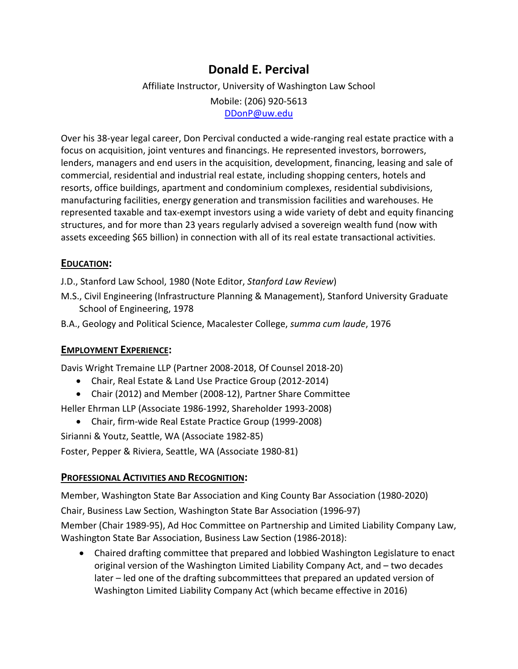# **Donald E. Percival**

# Affiliate Instructor, University of Washington Law School Mobile: (206) 920‐5613 DDonP@uw.edu

Over his 38‐year legal career, Don Percival conducted a wide‐ranging real estate practice with a focus on acquisition, joint ventures and financings. He represented investors, borrowers, lenders, managers and end users in the acquisition, development, financing, leasing and sale of commercial, residential and industrial real estate, including shopping centers, hotels and resorts, office buildings, apartment and condominium complexes, residential subdivisions, manufacturing facilities, energy generation and transmission facilities and warehouses. He represented taxable and tax‐exempt investors using a wide variety of debt and equity financing structures, and for more than 23 years regularly advised a sovereign wealth fund (now with assets exceeding \$65 billion) in connection with all of its real estate transactional activities.

## **EDUCATION:**

J.D., Stanford Law School, 1980 (Note Editor, *Stanford Law Review*)

- M.S., Civil Engineering (Infrastructure Planning & Management), Stanford University Graduate School of Engineering, 1978
- B.A., Geology and Political Science, Macalester College, *summa cum laude*, 1976

### **EMPLOYMENT EXPERIENCE:**

Davis Wright Tremaine LLP (Partner 2008‐2018, Of Counsel 2018‐20)

- Chair, Real Estate & Land Use Practice Group (2012‐2014)
- Chair (2012) and Member (2008‐12), Partner Share Committee

Heller Ehrman LLP (Associate 1986‐1992, Shareholder 1993‐2008)

Chair, firm‐wide Real Estate Practice Group (1999‐2008)

Sirianni & Youtz, Seattle, WA (Associate 1982‐85)

Foster, Pepper & Riviera, Seattle, WA (Associate 1980‐81)

### **PROFESSIONAL ACTIVITIES AND RECOGNITION:**

Member, Washington State Bar Association and King County Bar Association (1980‐2020) Chair, Business Law Section, Washington State Bar Association (1996‐97)

Member (Chair 1989‐95), Ad Hoc Committee on Partnership and Limited Liability Company Law, Washington State Bar Association, Business Law Section (1986‐2018):

 Chaired drafting committee that prepared and lobbied Washington Legislature to enact original version of the Washington Limited Liability Company Act, and – two decades later – led one of the drafting subcommittees that prepared an updated version of Washington Limited Liability Company Act (which became effective in 2016)